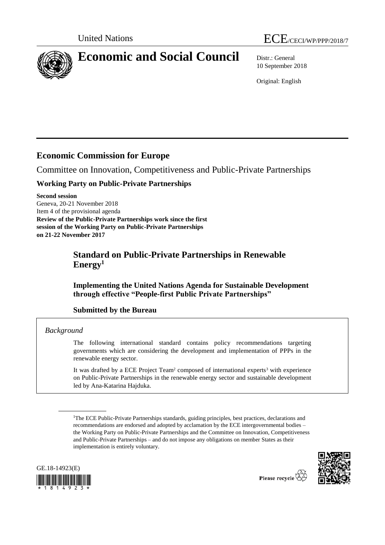

10 September 2018

Original: English

# **Economic Commission for Europe**

Committee on Innovation, Competitiveness and Public-Private Partnerships

# **Working Party on Public-Private Partnerships**

**Second session** Geneva, 20-21 November 2018 Item 4 of the provisional agenda **Review of the Public-Private Partnerships work since the first session of the Working Party on Public-Private Partnerships on 21-22 November 2017**

# **Standard on Public-Private Partnerships in Renewable Energy<sup>1</sup>**

**Implementing the United Nations Agenda for Sustainable Development through effective "People-first Public Private Partnerships"**

# **Submitted by the Bureau**

# *Background*

The following international standard contains policy recommendations targeting governments which are considering the development and implementation of PPPs in the renewable energy sector.

It was drafted by a ECE Project Team<sup>2</sup> composed of international experts<sup>3</sup> with experience on Public-Private Partnerships in the renewable energy sector and sustainable development led by Ana-Katarina Hajduka.

<sup>&</sup>lt;sup>1</sup>The ECE Public-Private Partnerships standards, guiding principles, best practices, declarations and recommendations are endorsed and adopted by acclamation by the ECE intergovernmental bodies – the Working Party on Public-Private Partnerships and the Committee on Innovation, Competitiveness and Public-Private Partnerships – and do not impose any obligations on member States as their implementation is entirely voluntary.



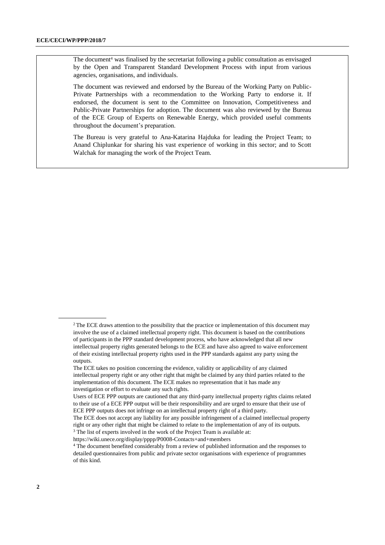The document<sup>4</sup> was finalised by the secretariat following a public consultation as envisaged by the Open and Transparent Standard Development Process with input from various agencies, organisations, and individuals.

The document was reviewed and endorsed by the Bureau of the Working Party on Public-Private Partnerships with a recommendation to the Working Party to endorse it. If endorsed, the document is sent to the Committee on Innovation, Competitiveness and Public-Private Partnerships for adoption. The document was also reviewed by the Bureau of the ECE Group of Experts on Renewable Energy, which provided useful comments throughout the document's preparation.

The Bureau is very grateful to Ana-Katarina Hajduka for leading the Project Team; to Anand Chiplunkar for sharing his vast experience of working in this sector; and to Scott Walchak for managing the work of the Project Team.

<sup>&</sup>lt;sup>2</sup> The ECE draws attention to the possibility that the practice or implementation of this document may involve the use of a claimed intellectual property right. This document is based on the contributions of participants in the PPP standard development process, who have acknowledged that all new intellectual property rights generated belongs to the ECE and have also agreed to waive enforcement of their existing intellectual property rights used in the PPP standards against any party using the outputs.

The ECE takes no position concerning the evidence, validity or applicability of any claimed intellectual property right or any other right that might be claimed by any third parties related to the implementation of this document. The ECE makes no representation that it has made any investigation or effort to evaluate any such rights.

Users of ECE PPP outputs are cautioned that any third-party intellectual property rights claims related to their use of a ECE PPP output will be their responsibility and are urged to ensure that their use of ECE PPP outputs does not infringe on an intellectual property right of a third party.

The ECE does not accept any liability for any possible infringement of a claimed intellectual property right or any other right that might be claimed to relate to the implementation of any of its outputs. <sup>3</sup> The list of experts involved in the work of the Project Team is available at:

<https://wiki.unece.org/display/pppp/P0008-Contacts+and+members>

<sup>4</sup> The document benefited considerably from a review of published information and the responses to detailed questionnaires from public and private sector organisations with experience of programmes of this kind.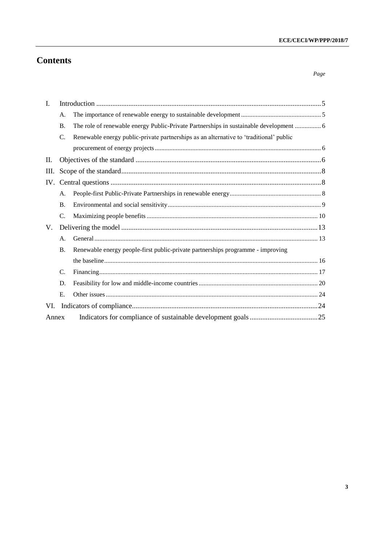# **Contents**

| L.    |                |                                                                                        |  |  |
|-------|----------------|----------------------------------------------------------------------------------------|--|--|
|       | А.             |                                                                                        |  |  |
|       | <b>B.</b>      | The role of renewable energy Public-Private Partnerships in sustainable development  6 |  |  |
|       | C.             | Renewable energy public-private partnerships as an alternative to 'traditional' public |  |  |
|       |                |                                                                                        |  |  |
| П.    |                |                                                                                        |  |  |
| Ш.    |                |                                                                                        |  |  |
|       |                |                                                                                        |  |  |
|       | A.             |                                                                                        |  |  |
|       | <b>B.</b>      |                                                                                        |  |  |
|       | $C_{\cdot}$    |                                                                                        |  |  |
| V.    |                |                                                                                        |  |  |
|       | А.             |                                                                                        |  |  |
|       | <b>B.</b>      | Renewable energy people-first public-private partnerships programme - improving        |  |  |
|       |                |                                                                                        |  |  |
|       | $\mathbf{C}$ . |                                                                                        |  |  |
|       | D.             |                                                                                        |  |  |
|       | Е.             |                                                                                        |  |  |
| VI.   |                |                                                                                        |  |  |
| Annex |                |                                                                                        |  |  |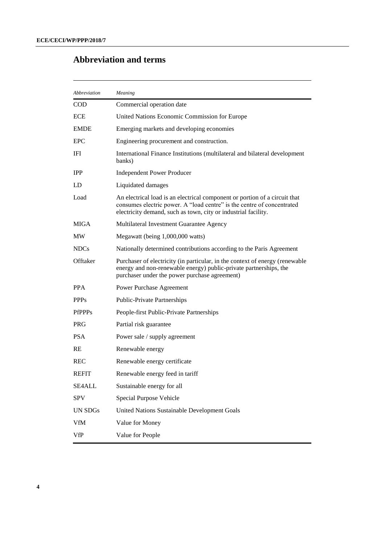# **Abbreviation and terms**

| Abbreviation     | Meaning                                                                                                                                                                                                                |
|------------------|------------------------------------------------------------------------------------------------------------------------------------------------------------------------------------------------------------------------|
| <b>COD</b>       | Commercial operation date                                                                                                                                                                                              |
| <b>ECE</b>       | United Nations Economic Commission for Europe                                                                                                                                                                          |
| <b>EMDE</b>      | Emerging markets and developing economies                                                                                                                                                                              |
| <b>EPC</b>       | Engineering procurement and construction.                                                                                                                                                                              |
| IFI              | International Finance Institutions (multilateral and bilateral development<br>banks)                                                                                                                                   |
| <b>IPP</b>       | <b>Independent Power Producer</b>                                                                                                                                                                                      |
| LD               | Liquidated damages                                                                                                                                                                                                     |
| Load             | An electrical load is an electrical component or portion of a circuit that<br>consumes electric power. A "load centre" is the centre of concentrated<br>electricity demand, such as town, city or industrial facility. |
| <b>MIGA</b>      | Multilateral Investment Guarantee Agency                                                                                                                                                                               |
| MW               | Megawatt (being 1,000,000 watts)                                                                                                                                                                                       |
| NDC <sub>s</sub> | Nationally determined contributions according to the Paris Agreement                                                                                                                                                   |
| Offtaker         | Purchaser of electricity (in particular, in the context of energy (renewable<br>energy and non-renewable energy) public-private partnerships, the<br>purchaser under the power purchase agreement)                     |
| <b>PPA</b>       | Power Purchase Agreement                                                                                                                                                                                               |
| <b>PPPs</b>      | <b>Public-Private Partnerships</b>                                                                                                                                                                                     |
| <b>PfPPPs</b>    | People-first Public-Private Partnerships                                                                                                                                                                               |
| <b>PRG</b>       | Partial risk guarantee                                                                                                                                                                                                 |
| <b>PSA</b>       | Power sale / supply agreement                                                                                                                                                                                          |
| <b>RE</b>        | Renewable energy                                                                                                                                                                                                       |
| <b>REC</b>       | Renewable energy certificate                                                                                                                                                                                           |
| <b>REFIT</b>     | Renewable energy feed in tariff                                                                                                                                                                                        |
| <b>SE4ALL</b>    | Sustainable energy for all                                                                                                                                                                                             |
| <b>SPV</b>       | Special Purpose Vehicle                                                                                                                                                                                                |
| <b>UN SDGs</b>   | United Nations Sustainable Development Goals                                                                                                                                                                           |
| <b>VfM</b>       | Value for Money                                                                                                                                                                                                        |
| <b>VfP</b>       | Value for People                                                                                                                                                                                                       |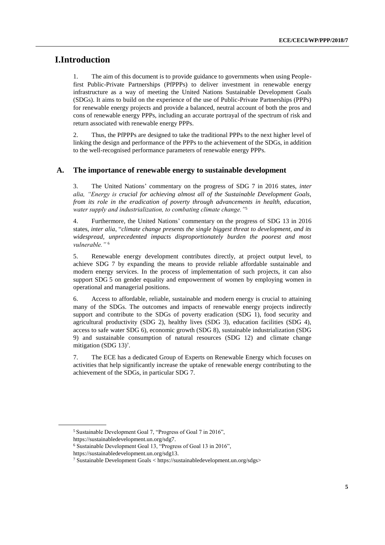# <span id="page-4-0"></span>**I.Introduction**

1. The aim of this document is to provide guidance to governments when using Peoplefirst Public-Private Partnerships (PfPPPs) to deliver investment in renewable energy infrastructure as a way of meeting the United Nations Sustainable Development Goals (SDGs). It aims to build on the experience of the use of Public-Private Partnerships (PPPs) for renewable energy projects and provide a balanced, neutral account of both the pros and cons of renewable energy PPPs, including an accurate portrayal of the spectrum of risk and return associated with renewable energy PPPs.

2. Thus, the PfPPPs are designed to take the traditional PPPs to the next higher level of linking the design and performance of the PPPs to the achievement of the SDGs, in addition to the well-recognised performance parameters of renewable energy PPPs.

#### <span id="page-4-1"></span>**A. The importance of renewable energy to sustainable development**

3. The United Nations' commentary on the progress of SDG 7 in 2016 states, *inter alia, "Energy is crucial for achieving almost all of the Sustainable Development Goals, from its role in the eradication of poverty through advancements in health, education, water supply and industrialization, to combating climate change."*<sup>5</sup>

4. Furthermore, the United Nations' commentary on the progress of SDG 13 in 2016 states, *inter alia*, "*climate change presents the single biggest threat to development, and its widespread, unprecedented impacts disproportionately burden the poorest and most vulnerable."* <sup>6</sup>

5. Renewable energy development contributes directly, at project output level, to achieve SDG 7 by expanding the means to provide reliable affordable sustainable and modern energy services. In the process of implementation of such projects, it can also support SDG 5 on gender equality and empowerment of women by employing women in operational and managerial positions.

6. Access to affordable, reliable, sustainable and modern energy is crucial to attaining many of the SDGs. The outcomes and impacts of renewable energy projects indirectly support and contribute to the SDGs of poverty eradication (SDG 1), food security and agricultural productivity (SDG 2), healthy lives (SDG 3), education facilities (SDG 4), access to safe water SDG 6), economic growth (SDG 8), sustainable industrialization (SDG 9) and sustainable consumption of natural resources (SDG 12) and climate change mitigation (SDG 13)<sup>7</sup>.

7. The ECE has a dedicated Group of Experts on Renewable Energy which focuses on activities that help significantly increase the uptake of renewable energy contributing to the achievement of the SDGs, in particular SDG 7.

<sup>5</sup> Sustainable Development Goal 7, "Progress of Goal 7 in 2016",

[https://sustainabledevelopment.un.org/sdg7.](https://sustainabledevelopment.un.org/sdg7)

<sup>6</sup> Sustainable Development Goal 13, "Progress of Goal 13 in 2016",

[https://sustainabledevelopment.un.org/sdg13.](https://sustainabledevelopment.un.org/sdg13) 

<sup>7</sup> Sustainable Development Goals < https://sustainabledevelopment.un.org/sdgs>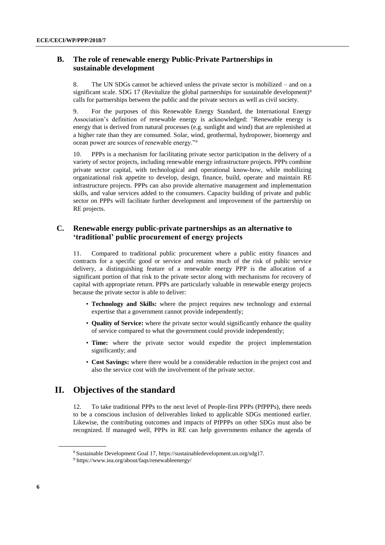### <span id="page-5-0"></span>**B. The role of renewable energy Public-Private Partnerships in sustainable development**

8. The UN SDGs cannot be achieved unless the private sector is mobilized – and on a significant scale. SDG 17 (Revitalize the global partnerships for sustainable development)<sup>8</sup> calls for partnerships between the public and the private sectors as well as civil society.

9. For the purposes of this Renewable Energy Standard, the International Energy Association's definition of renewable energy is acknowledged: "Renewable energy is energy that is derived from natural processes (e.g. sunlight and wind) that are replenished at a higher rate than they are consumed. Solar, wind, geothermal, hydropower, bioenergy and ocean power are sources of renewable energy."*<sup>9</sup>*

10. PPPs is a mechanism for facilitating private sector participation in the delivery of a variety of sector projects, including renewable energy infrastructure projects. PPPs combine private sector capital, with technological and operational know-how, while mobilizing organizational risk appetite to develop, design, finance, build, operate and maintain RE infrastructure projects. PPPs can also provide alternative management and implementation skills, and value services added to the consumers. Capacity building of private and public sector on PPPs will facilitate further development and improvement of the partnership on RE projects.

### <span id="page-5-1"></span>**C. Renewable energy public-private partnerships as an alternative to 'traditional' public procurement of energy projects**

11. Compared to traditional public procurement where a public entity finances and contracts for a specific good or service and retains much of the risk of public service delivery, a distinguishing feature of a renewable energy PPP is the allocation of a significant portion of that risk to the private sector along with mechanisms for recovery of capital with appropriate return. PPPs are particularly valuable in renewable energy projects because the private sector is able to deliver:

- **Technology and Skills:** where the project requires new technology and external expertise that a government cannot provide independently;
- **Quality of Service:** where the private sector would significantly enhance the quality of service compared to what the government could provide independently;
- **Time:** where the private sector would expedite the project implementation significantly; and
- **Cost Savings:** where there would be a considerable reduction in the project cost and also the service cost with the involvement of the private sector.

# <span id="page-5-2"></span>**II. Objectives of the standard**

12. To take traditional PPPs to the next level of People-first PPPs (PfPPPs), there needs to be a conscious inclusion of deliverables linked to applicable SDGs mentioned earlier. Likewise, the contributing outcomes and impacts of PfPPPs on other SDGs must also be recognized. If managed well, PPPs in RE can help governments enhance the agenda of

<sup>8</sup> Sustainable Development Goal 17[, https://sustainabledevelopment.un.org/sdg17.](https://sustainabledevelopment.un.org/sdg17) 

<sup>9</sup> https://www.iea.org/about/faqs/renewableenergy/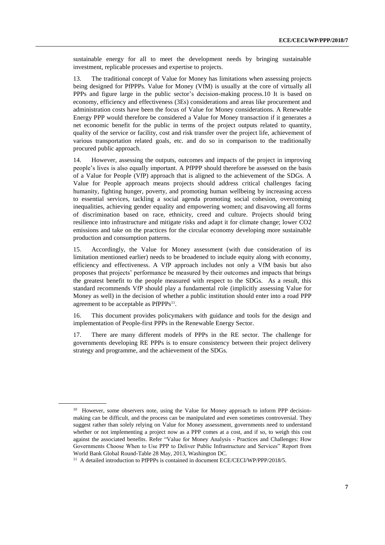sustainable energy for all to meet the development needs by bringing sustainable investment, replicable processes and expertise to projects.

13. The traditional concept of Value for Money has limitations when assessing projects being designed for PfPPPs. Value for Money (VfM) is usually at the core of virtually all PPPs and figure large in the public sector's decision-making process.10 It is based on economy, efficiency and effectiveness (3Es) considerations and areas like procurement and administration costs have been the focus of Value for Money considerations. A Renewable Energy PPP would therefore be considered a Value for Money transaction if it generates a net economic benefit for the public in terms of the project outputs related to quantity, quality of the service or facility, cost and risk transfer over the project life, achievement of various transportation related goals, etc. and do so in comparison to the traditionally procured public approach.

14. However, assessing the outputs, outcomes and impacts of the project in improving people's lives is also equally important. A PfPPP should therefore be assessed on the basis of a Value for People (VfP) approach that is aligned to the achievement of the SDGs. A Value for People approach means projects should address critical challenges facing humanity, fighting hunger, poverty, and promoting human wellbeing by increasing access to essential services, tackling a social agenda promoting social cohesion, overcoming inequalities, achieving gender equality and empowering women; and disavowing all forms of discrimination based on race, ethnicity, creed and culture. Projects should bring resilience into infrastructure and mitigate risks and adapt it for climate change; lower CO2 emissions and take on the practices for the circular economy developing more sustainable production and consumption patterns.

15. Accordingly, the Value for Money assessment (with due consideration of its limitation mentioned earlier) needs to be broadened to include equity along with economy, efficiency and effectiveness. A VfP approach includes not only a VfM basis but also proposes that projects' performance be measured by their outcomes and impacts that brings the greatest benefit to the people measured with respect to the SDGs. As a result, this standard recommends VfP should play a fundamental role (implicitly assessing Value for Money as well) in the decision of whether a public institution should enter into a road PPP agreement to be acceptable as PfPPPs<sup>11</sup>.

16. This document provides policymakers with guidance and tools for the design and implementation of People-first PPPs in the Renewable Energy Sector.

17. There are many different models of PPPs in the RE sector. The challenge for governments developing RE PPPs is to ensure consistency between their project delivery strategy and programme, and the achievement of the SDGs.

<sup>&</sup>lt;sup>10</sup> However, some observers note, using the Value for Money approach to inform PPP decisionmaking can be difficult, and the process can be manipulated and even sometimes controversial. They suggest rather than solely relying on Value for Money assessment, governments need to understand whether or not implementing a project now as a PPP comes at a cost, and if so, to weigh this cost against the associated benefits. Refer "Value for Money Analysis - Practices and Challenges: How Governments Choose When to Use PPP to Deliver Public Infrastructure and Services" Report from World Bank Global Round-Table 28 May, 2013, Washington DC.

<sup>&</sup>lt;sup>11</sup> A detailed introduction to PfPPPs is contained in document ECE/CECI/WP/PPP/2018/5.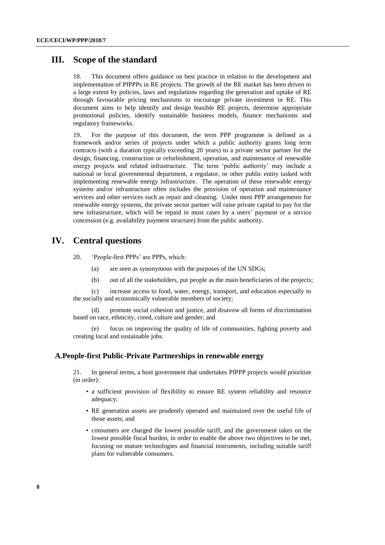## <span id="page-7-0"></span>**III. Scope of the standard**

18. This document offers guidance on best practice in relation to the development and implementation of PfPPPs in RE projects. The growth of the RE market has been driven to a large extent by policies, laws and regulations regarding the generation and uptake of RE through favourable pricing mechanisms to encourage private investment in RE. This document aims to help identify and design feasible RE projects, determine appropriate promotional policies, identify sustainable business models, finance mechanisms and regulatory frameworks.

19. For the purpose of this document, the term PPP programme is defined as a framework and/or series of projects under which a public authority grants long term contracts (with a duration typically exceeding 20 years) to a private sector partner for the design, financing, construction or refurbishment, operation, and maintenance of renewable energy projects and related infrastructure. The term 'public authority' may include a national or local governmental department, a regulator, or other public entity tasked with implementing renewable energy infrastructure. The operation of these renewable energy systems and/or infrastructure often includes the provision of operation and maintenance services and other services such as repair and cleaning. Under most PPP arrangements for renewable energy systems, the private sector partner will raise private capital to pay for the new infrastructure, which will be repaid in most cases by a users' payment or a service concession (e.g. availability payment structure) from the public authority.

# <span id="page-7-1"></span>**IV. Central questions**

20. 'People-first PPPs' are PPPs, which:

- (a) are seen as synonymous with the purposes of the UN SDGs;
- (b) out of all the stakeholders, put people as the main beneficiaries of the projects;

(c) increase access to food, water, energy, transport, and education especially to the socially and economically vulnerable members of society;

(d) promote social cohesion and justice, and disavow all forms of discrimination based on race, ethnicity, creed, culture and gender; and

(e) focus on improving the quality of life of communities, fighting poverty and creating local and sustainable jobs.

#### <span id="page-7-2"></span>**A.People-first Public-Private Partnerships in renewable energy**

21. In general terms, a host government that undertakes PfPPP projects would prioritize (in order):

- a sufficient provision of flexibility to ensure RE system reliability and resource adequacy;
- RE generation assets are prudently operated and maintained over the useful life of those assets; and
- consumers are charged the lowest possible tariff, and the government takes on the lowest possible fiscal burden, in order to enable the above two objectives to be met, focusing on mature technologies and financial instruments, including suitable tariff plans for vulnerable consumers.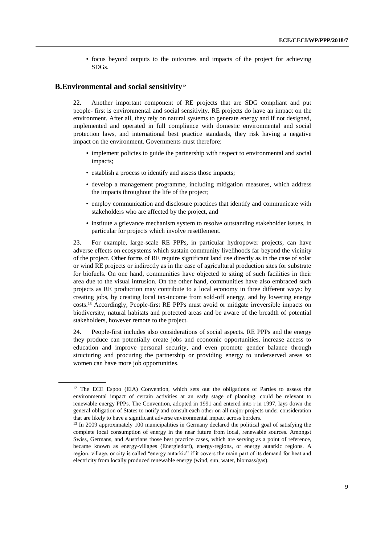• focus beyond outputs to the outcomes and impacts of the project for achieving SDGs.

#### <span id="page-8-0"></span>**B.Environmental and social sensitivity<sup>12</sup>**

22. Another important component of RE projects that are SDG compliant and put people- first is environmental and social sensitivity. RE projects do have an impact on the environment. After all, they rely on natural systems to generate energy and if not designed, implemented and operated in full compliance with domestic environmental and social protection laws, and international best practice standards, they risk having a negative impact on the environment. Governments must therefore:

- implement policies to guide the partnership with respect to environmental and social impacts;
- establish a process to identify and assess those impacts;
- develop a management programme, including mitigation measures, which address the impacts throughout the life of the project;
- employ communication and disclosure practices that identify and communicate with stakeholders who are affected by the project, and
- institute a grievance mechanism system to resolve outstanding stakeholder issues, in particular for projects which involve resettlement.

23. For example, large-scale RE PPPs, in particular hydropower projects, can have adverse effects on ecosystems which sustain community livelihoods far beyond the vicinity of the project. Other forms of RE require significant land use directly as in the case of solar or wind RE projects or indirectly as in the case of agricultural production sites for substrate for biofuels. On one hand, communities have objected to siting of such facilities in their area due to the visual intrusion. On the other hand, communities have also embraced such projects as RE production may contribute to a local economy in three different ways: by creating jobs, by creating local tax-income from sold-off energy, and by lowering energy costs. <sup>13</sup> Accordingly, People-first RE PPPs must avoid or mitigate irreversible impacts on biodiversity, natural habitats and protected areas and be aware of the breadth of potential stakeholders, however remote to the project.

24. People-first includes also considerations of social aspects. RE PPPs and the energy they produce can potentially create jobs and economic opportunities, increase access to education and improve personal security, and even promote gender balance through structuring and procuring the partnership or providing energy to underserved areas so women can have more job opportunities.

<sup>&</sup>lt;sup>12</sup> The ECE Espoo (EIA) Convention, which sets out the obligations of Parties to assess the environmental impact of certain activities at an early stage of planning, could be relevant to renewable energy PPPs. The Convention, adopted in 1991 and entered into r in 1997, lays down the general obligation of States to notify and consult each other on all major projects under consideration that are likely to have a significant adverse environmental impact across borders.

<sup>&</sup>lt;sup>13</sup> In 2009 approximately 100 municipalities in Germany declared the political goal of satisfying the complete local consumption of energy in the near future from local, renewable sources. Amongst Swiss, Germans, and Austrians those best practice cases, which are serving as a point of reference, became known as energy-villages (Energiedorf), energy-regions, or energy autarkic regions. A region, village, or city is called "energy autarkic" if it covers the main part of its demand for heat and electricity from locally produced renewable energy (wind, sun, water, biomass/gas).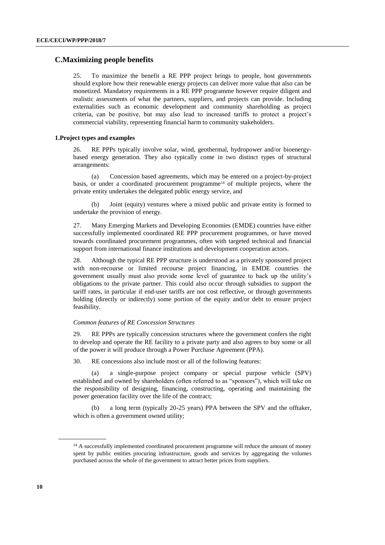### <span id="page-9-0"></span>**C.Maximizing people benefits**

25. To maximize the benefit a RE PPP project brings to people, host governments should explore how their renewable energy projects can deliver more value that also can be monetized. Mandatory requirements in a RE PPP programme however require diligent and realistic assessments of what the partners, suppliers, and projects can provide. Including externalities such as economic development and community shareholding as project criteria, can be positive, but may also lead to increased tariffs to protect a project's commercial viability, representing financial harm to community stakeholders.

#### **1.Project types and examples**

26. RE PPPs typically involve solar, wind, geothermal, hydropower and/or bioenergybased energy generation. They also typically come in two distinct types of structural arrangements:

(a) Concession based agreements, which may be entered on a project-by-project basis, or under a coordinated procurement programme<sup>14</sup> of multiple projects, where the private entity undertakes the delegated public energy service, and

(b) Joint (equity) ventures where a mixed public and private entity is formed to undertake the provision of energy.

27. Many Emerging Markets and Developing Economies (EMDE) countries have either successfully implemented coordinated RE PPP procurement programmes, or have moved towards coordinated procurement programmes, often with targeted technical and financial support from international finance institutions and development cooperation actors.

28. Although the typical RE PPP structure is understood as a privately sponsored project with non-recourse or limited recourse project financing, in EMDE countries the government usually must also provide some level of guarantee to back up the utility's obligations to the private partner. This could also occur through subsidies to support the tariff rates, in particular if end-user tariffs are not cost reflective, or through governments holding (directly or indirectly) some portion of the equity and/or debt to ensure project feasibility.

#### *Common features of RE Concession Structures*

29. RE PPPs are typically concession structures where the government confers the right to develop and operate the RE facility to a private party and also agrees to buy some or all of the power it will produce through a Power Purchase Agreement (PPA).

30. RE concessions also include most or all of the following features:

(a) a single-purpose project company or special purpose vehicle (SPV) established and owned by shareholders (often referred to as "sponsors"), which will take on the responsibility of designing, financing, constructing, operating and maintaining the power generation facility over the life of the contract;

(b) a long term (typically 20-25 years) PPA between the SPV and the offtaker, which is often a government owned utility;

<sup>&</sup>lt;sup>14</sup> A successfully implemented coordinated procurement programme will reduce the amount of money spent by public entities procuring infrastructure, goods and services by aggregating the volumes purchased across the whole of the government to attract better prices from suppliers.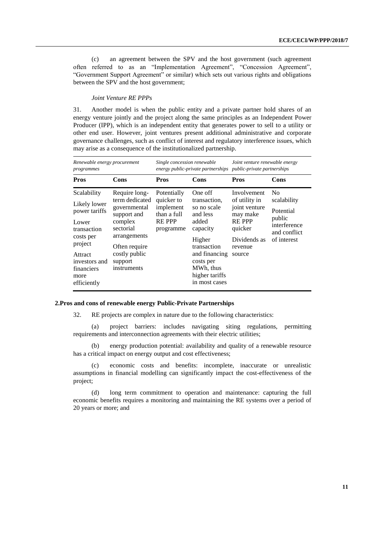(c) an agreement between the SPV and the host government (such agreement often referred to as an "Implementation Agreement", "Concession Agreement", "Government Support Agreement" or similar) which sets out various rights and obligations between the SPV and the host government;

#### *Joint Venture RE PPPs*

31. Another model is when the public entity and a private partner hold shares of an energy venture jointly and the project along the same principles as an Independent Power Producer (IPP), which is an independent entity that generates power to sell to a utility or other end user. However, joint ventures present additional administrative and corporate governance challenges, such as conflict of interest and regulatory interference issues, which may arise as a consequence of the institutionalized partnership.

| Renewable energy procurement<br>programmes                                                                                                                    |                                                                                                                                                                    | Single concession renewable<br>energy public-private partnerships                  |                                                                                                                                                                                | Joint venture renewable energy<br><i>public-private partnerships</i>                                                      |                                                                                                     |
|---------------------------------------------------------------------------------------------------------------------------------------------------------------|--------------------------------------------------------------------------------------------------------------------------------------------------------------------|------------------------------------------------------------------------------------|--------------------------------------------------------------------------------------------------------------------------------------------------------------------------------|---------------------------------------------------------------------------------------------------------------------------|-----------------------------------------------------------------------------------------------------|
| <b>Pros</b>                                                                                                                                                   | Cons                                                                                                                                                               | <b>Pros</b>                                                                        | Cons                                                                                                                                                                           | <b>Pros</b>                                                                                                               | Cons                                                                                                |
| Scalability<br>Likely lower<br>power tariffs<br>Lower<br>transaction<br>costs per<br>project<br>Attract<br>investors and<br>financiers<br>more<br>efficiently | Require long-<br>term dedicated<br>governmental<br>support and<br>complex<br>sectorial<br>arrangements<br>Often require<br>costly public<br>support<br>instruments | Potentially<br>quicker to<br>implement<br>than a full<br><b>REPPP</b><br>programme | One off<br>transaction,<br>so no scale<br>and less<br>added<br>capacity<br>Higher<br>transaction<br>and financing<br>costs per<br>MWh, thus<br>higher tariffs<br>in most cases | Involvement<br>of utility in<br>joint venture<br>may make<br><b>REPPP</b><br>quicker<br>Dividends as<br>revenue<br>source | N <sub>0</sub><br>scalability<br>Potential<br>public<br>interference<br>and conflict<br>of interest |

#### **2.Pros and cons of renewable energy Public-Private Partnerships**

32. RE projects are complex in nature due to the following characteristics:

(a) project barriers: includes navigating siting regulations, permitting requirements and interconnection agreements with their electric utilities;

(b) energy production potential: availability and quality of a renewable resource has a critical impact on energy output and cost effectiveness;

(c) economic costs and benefits: incomplete, inaccurate or unrealistic assumptions in financial modelling can significantly impact the cost-effectiveness of the project;

(d) long term commitment to operation and maintenance: capturing the full economic benefits requires a monitoring and maintaining the RE systems over a period of 20 years or more; and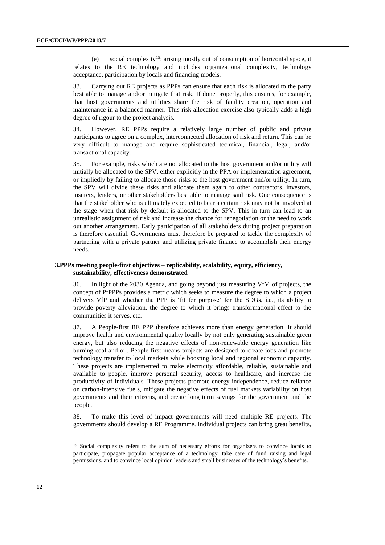(e) social complexity<sup>15</sup>: arising mostly out of consumption of horizontal space, it relates to the RE technology and includes organizational complexity, technology acceptance, participation by locals and financing models.

33. Carrying out RE projects as PPPs can ensure that each risk is allocated to the party best able to manage and/or mitigate that risk. If done properly, this ensures, for example, that host governments and utilities share the risk of facility creation, operation and maintenance in a balanced manner. This risk allocation exercise also typically adds a high degree of rigour to the project analysis.

34. However, RE PPPs require a relatively large number of public and private participants to agree on a complex, interconnected allocation of risk and return. This can be very difficult to manage and require sophisticated technical, financial, legal, and/or transactional capacity.

35. For example, risks which are not allocated to the host government and/or utility will initially be allocated to the SPV, either explicitly in the PPA or implementation agreement, or impliedly by failing to allocate those risks to the host government and/or utility. In turn, the SPV will divide these risks and allocate them again to other contractors, investors, insurers, lenders, or other stakeholders best able to manage said risk. One consequence is that the stakeholder who is ultimately expected to bear a certain risk may not be involved at the stage when that risk by default is allocated to the SPV. This in turn can lead to an unrealistic assignment of risk and increase the chance for renegotiation or the need to work out another arrangement. Early participation of all stakeholders during project preparation is therefore essential. Governments must therefore be prepared to tackle the complexity of partnering with a private partner and utilizing private finance to accomplish their energy needs.

#### **3.PPPs meeting people-first objectives – replicability, scalability, equity, efficiency, sustainability, effectiveness demonstrated**

36. In light of the 2030 Agenda, and going beyond just measuring VfM of projects, the concept of PfPPPs provides a metric which seeks to measure the degree to which a project delivers VfP and whether the PPP is 'fit for purpose' for the SDGs, i.e., its ability to provide poverty alleviation, the degree to which it brings transformational effect to the communities it serves, etc.

37. A People-first RE PPP therefore achieves more than energy generation. It should improve health and environmental quality locally by not only generating sustainable green energy, but also reducing the negative effects of non-renewable energy generation like burning coal and oil. People-first means projects are designed to create jobs and promote technology transfer to local markets while boosting local and regional economic capacity. These projects are implemented to make electricity affordable, reliable, sustainable and available to people, improve personal security, access to healthcare, and increase the productivity of individuals. These projects promote energy independence, reduce reliance on carbon-intensive fuels, mitigate the negative effects of fuel markets variability on host governments and their citizens, and create long term savings for the government and the people.

38. To make this level of impact governments will need multiple RE projects. The governments should develop a RE Programme. Individual projects can bring great benefits,

<sup>&</sup>lt;sup>15</sup> Social complexity refers to the sum of necessary efforts for organizers to convince locals to participate, propagate popular acceptance of a technology, take care of fund raising and legal permissions, and to convince local opinion leaders and small businesses of the technology´s benefits.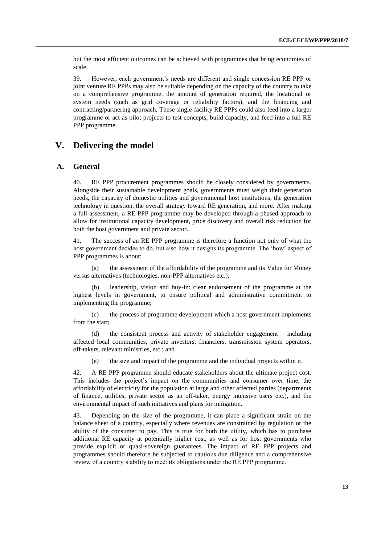but the most efficient outcomes can be achieved with programmes that bring economies of scale.

39. However, each government's needs are different and single concession RE PPP or joint venture RE PPPs may also be suitable depending on the capacity of the country to take on a comprehensive programme, the amount of generation required, the locational or system needs (such as grid coverage or reliability factors), and the financing and contracting/partnering approach. These single-facility RE PPPs could also feed into a larger programme or act as pilot projects to test concepts, build capacity, and feed into a full RE PPP programme.

# <span id="page-12-0"></span>**V. Delivering the model**

#### <span id="page-12-1"></span>**A. General**

40. RE PPP procurement programmes should be closely considered by governments. Alongside their sustainable development goals, governments must weigh their generation needs, the capacity of domestic utilities and governmental host institutions, the generation technology in question, the overall strategy toward RE generation, and more. After making a full assessment, a RE PPP programme may be developed through a phased approach to allow for institutional capacity development, price discovery and overall risk reduction for both the host government and private sector.

41. The success of an RE PPP programme is therefore a function not only of what the host government decides to do, but also how it designs its programme. The 'how' aspect of PPP programmes is about:

(a) the assessment of the affordability of the programme and its Value for Money versus alternatives (technologies, non-PPP alternatives etc.);

(b) leadership, vision and buy-in: clear endorsement of the programme at the highest levels in government, to ensure political and administrative commitment to implementing the programme;

(c) the process of programme development which a host government implements from the start;

(d) the consistent process and activity of stakeholder engagement – including affected local communities, private investors, financiers, transmission system operators, off-takers, relevant ministries, etc.; and

(e) the size and impact of the programme and the individual projects within it.

42. A RE PPP programme should educate stakeholders about the ultimate project cost. This includes the project's impact on the communities and consumer over time, the affordability of electricity for the population at large and other affected parties (departments of finance, utilities, private sector as an off-taker, energy intensive users etc.), and the environmental impact of such initiatives and plans for mitigation.

43. Depending on the size of the programme, it can place a significant strain on the balance sheet of a country, especially where revenues are constrained by regulation or the ability of the consumer to pay. This is true for both the utility, which has to purchase additional RE capacity at potentially higher cost, as well as for host governments who provide explicit or quasi-sovereign guarantees. The impact of RE PPP projects and programmes should therefore be subjected to cautious due diligence and a comprehensive review of a country's ability to meet its obligations under the RE PPP programme.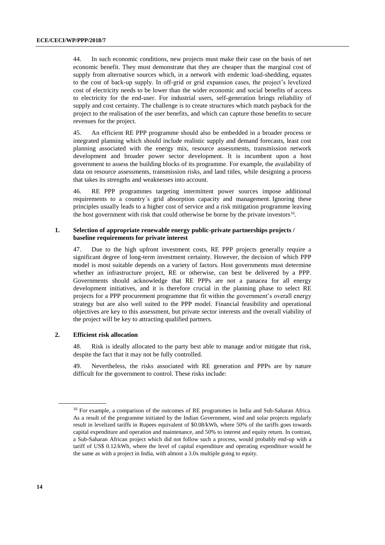44. In such economic conditions, new projects must make their case on the basis of net economic benefit. They must demonstrate that they are cheaper than the marginal cost of supply from alternative sources which, in a network with endemic load-shedding, equates to the cost of back-up supply. In off-grid or grid expansion cases, the project's levelized cost of electricity needs to be lower than the wider economic and social benefits of access to electricity for the end-user. For industrial users, self-generation brings reliability of supply and cost certainty. The challenge is to create structures which match payback for the project to the realisation of the user benefits, and which can capture those benefits to secure revenues for the project.

45. An efficient RE PPP programme should also be embedded in a broader process or integrated planning which should include realistic supply and demand forecasts, least cost planning associated with the energy mix, resource assessments, transmission network development and broader power sector development. It is incumbent upon a host government to assess the building blocks of its programme. For example, the availability of data on resource assessments, transmission risks, and land titles, while designing a process that takes its strengths and weaknesses into account.

46. RE PPP programmes targeting intermittent power sources impose additional requirements to a country´s grid absorption capacity and management. Ignoring these principles usually leads to a higher cost of service and a risk mitigation programme leaving the host government with risk that could otherwise be borne by the private investors $16$ .

#### **1. Selection of appropriate renewable energy public-private partnerships projects / baseline requirements for private interest**

47. Due to the high upfront investment costs, RE PPP projects generally require a significant degree of long-term investment certainty. However, the decision of which PPP model is most suitable depends on a variety of factors. Host governments must determine whether an infrastructure project, RE or otherwise, can best be delivered by a PPP. Governments should acknowledge that RE PPPs are not a panacea for all energy development initiatives, and it is therefore crucial in the planning phase to select RE projects for a PPP procurement programme that fit within the government's overall energy strategy but are also well suited to the PPP model. Financial feasibility and operational objectives are key to this assessment, but private sector interests and the overall viability of the project will be key to attracting qualified partners.

#### **2. Efficient risk allocation**

48. Risk is ideally allocated to the party best able to manage and/or mitigate that risk, despite the fact that it may not be fully controlled.

49. Nevertheless, the risks associated with RE generation and PPPs are by nature difficult for the government to control. These risks include:

<sup>&</sup>lt;sup>16</sup> For example, a comparison of the outcomes of RE programmes in India and Sub-Saharan Africa. As a result of the programme initiated by the Indian Government, wind and solar projects regularly result in levelized tariffs in Rupees equivalent of \$0.08/kWh, where 50% of the tariffs goes towards capital expenditure and operation and maintenance, and 50% to interest and equity return. In contrast, a Sub-Saharan African project which did not follow such a process, would probably end-up with a tariff of US\$ 0.12/kWh, where the level of capital expenditure and operating expenditure would be the same as with a project in India, with almost a 3.0x multiple going to equity.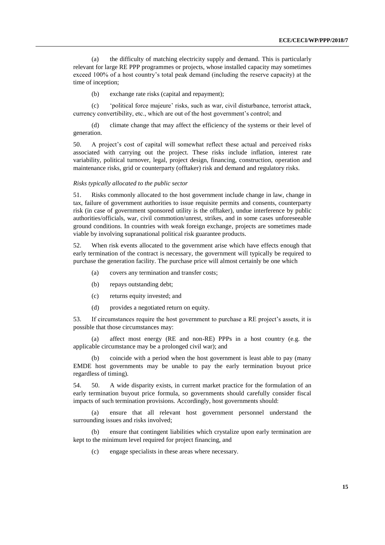(a) the difficulty of matching electricity supply and demand. This is particularly relevant for large RE PPP programmes or projects, whose installed capacity may sometimes exceed 100% of a host country's total peak demand (including the reserve capacity) at the time of inception;

(b) exchange rate risks (capital and repayment);

(c) 'political force majeure' risks, such as war, civil disturbance, terrorist attack, currency convertibility, etc., which are out of the host government's control; and

(d) climate change that may affect the efficiency of the systems or their level of generation.

50. A project's cost of capital will somewhat reflect these actual and perceived risks associated with carrying out the project. These risks include inflation, interest rate variability, political turnover, legal, project design, financing, construction, operation and maintenance risks, grid or counterparty (offtaker) risk and demand and regulatory risks.

#### *Risks typically allocated to the public sector*

51. Risks commonly allocated to the host government include change in law, change in tax, failure of government authorities to issue requisite permits and consents, counterparty risk (in case of government sponsored utility is the offtaker), undue interference by public authorities/officials, war, civil commotion/unrest, strikes, and in some cases unforeseeable ground conditions. In countries with weak foreign exchange, projects are sometimes made viable by involving supranational political risk guarantee products.

52. When risk events allocated to the government arise which have effects enough that early termination of the contract is necessary, the government will typically be required to purchase the generation facility. The purchase price will almost certainly be one which

- (a) covers any termination and transfer costs;
- (b) repays outstanding debt;
- (c) returns equity invested; and
- (d) provides a negotiated return on equity.

53. If circumstances require the host government to purchase a RE project's assets, it is possible that those circumstances may:

(a) affect most energy (RE and non-RE) PPPs in a host country (e.g. the applicable circumstance may be a prolonged civil war); and

(b) coincide with a period when the host government is least able to pay (many EMDE host governments may be unable to pay the early termination buyout price regardless of timing).

54. 50. A wide disparity exists, in current market practice for the formulation of an early termination buyout price formula, so governments should carefully consider fiscal impacts of such termination provisions. Accordingly, host governments should:

(a) ensure that all relevant host government personnel understand the surrounding issues and risks involved;

(b) ensure that contingent liabilities which crystalize upon early termination are kept to the minimum level required for project financing, and

(c) engage specialists in these areas where necessary.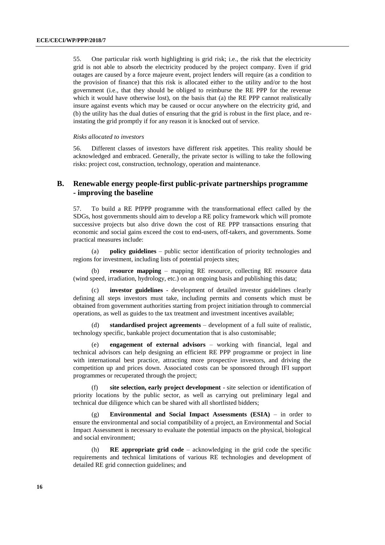55. One particular risk worth highlighting is grid risk; i.e., the risk that the electricity grid is not able to absorb the electricity produced by the project company. Even if grid outages are caused by a force majeure event, project lenders will require (as a condition to the provision of finance) that this risk is allocated either to the utility and/or to the host government (i.e., that they should be obliged to reimburse the RE PPP for the revenue which it would have otherwise lost), on the basis that (a) the RE PPP cannot realistically insure against events which may be caused or occur anywhere on the electricity grid, and (b) the utility has the dual duties of ensuring that the grid is robust in the first place, and reinstating the grid promptly if for any reason it is knocked out of service.

#### *Risks allocated to investors*

56. Different classes of investors have different risk appetites. This reality should be acknowledged and embraced. Generally, the private sector is willing to take the following risks: project cost, construction, technology, operation and maintenance.

### <span id="page-15-0"></span>**B. Renewable energy people-first public-private partnerships programme - improving the baseline**

57. To build a RE PfPPP programme with the transformational effect called by the SDGs, host governments should aim to develop a RE policy framework which will promote successive projects but also drive down the cost of RE PPP transactions ensuring that economic and social gains exceed the cost to end-users, off-takers, and governments. Some practical measures include:

(a) **policy guidelines** – public sector identification of priority technologies and regions for investment, including lists of potential projects sites;

**resource mapping** – mapping RE resource, collecting RE resource data (wind speed, irradiation, hydrology, etc.) on an ongoing basis and publishing this data;

(c) **investor guidelines** - development of detailed investor guidelines clearly defining all steps investors must take, including permits and consents which must be obtained from government authorities starting from project initiation through to commercial operations, as well as guides to the tax treatment and investment incentives available;

(d) **standardised project agreements** – development of a full suite of realistic, technology specific, bankable project documentation that is also customisable;

(e) **engagement of external advisors** – working with financial, legal and technical advisors can help designing an efficient RE PPP programme or project in line with international best practice, attracting more prospective investors, and driving the competition up and prices down. Associated costs can be sponsored through IFI support programmes or recuperated through the project;

(f) **site selection, early project development** - site selection or identification of priority locations by the public sector, as well as carrying out preliminary legal and technical due diligence which can be shared with all shortlisted bidders;

(g) **Environmental and Social Impact Assessments (ESIA)** – in order to ensure the environmental and social compatibility of a project, an Environmental and Social Impact Assessment is necessary to evaluate the potential impacts on the physical, biological and social environment;

(h) **RE appropriate grid code** – acknowledging in the grid code the specific requirements and technical limitations of various RE technologies and development of detailed RE grid connection guidelines; and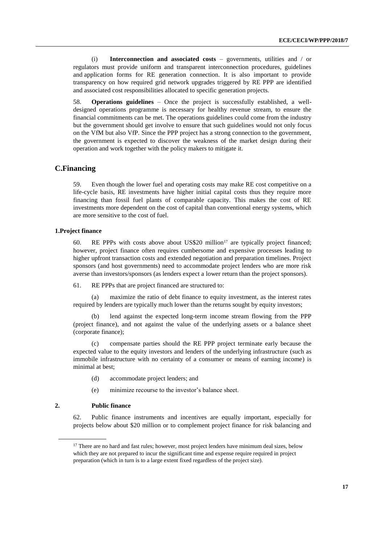(i) **Interconnection and associated costs** – governments, utilities and / or regulators must provide uniform and transparent interconnection procedures, guidelines and application forms for RE generation connection. It is also important to provide transparency on how required grid network upgrades triggered by RE PPP are identified and associated cost responsibilities allocated to specific generation projects.

58. **Operations guidelines** – Once the project is successfully established, a welldesigned operations programme is necessary for healthy revenue stream, to ensure the financial commitments can be met. The operations guidelines could come from the industry but the government should get involve to ensure that such guidelines would not only focus on the VfM but also VfP. Since the PPP project has a strong connection to the government, the government is expected to discover the weakness of the market design during their operation and work together with the policy makers to mitigate it.

### <span id="page-16-0"></span>**C.Financing**

59. Even though the lower fuel and operating costs may make RE cost competitive on a life-cycle basis, RE investments have higher initial capital costs thus they require more financing than fossil fuel plants of comparable capacity. This makes the cost of RE investments more dependent on the cost of capital than conventional energy systems, which are more sensitive to the cost of fuel.

#### **1.Project finance**

60. RE PPPs with costs above about US\$20 million<sup>17</sup> are typically project financed; however, project finance often requires cumbersome and expensive processes leading to higher upfront transaction costs and extended negotiation and preparation timelines. Project sponsors (and host governments) need to accommodate project lenders who are more risk averse than investors/sponsors (as lenders expect a lower return than the project sponsors).

61. RE PPPs that are project financed are structured to:

(a) maximize the ratio of debt finance to equity investment, as the interest rates required by lenders are typically much lower than the returns sought by equity investors;

(b) lend against the expected long-term income stream flowing from the PPP (project finance), and not against the value of the underlying assets or a balance sheet (corporate finance);

(c) compensate parties should the RE PPP project terminate early because the expected value to the equity investors and lenders of the underlying infrastructure (such as immobile infrastructure with no certainty of a consumer or means of earning income) is minimal at best;

- (d) accommodate project lenders; and
- (e) minimize recourse to the investor's balance sheet.

#### **2. Public finance**

62. Public finance instruments and incentives are equally important, especially for projects below about \$20 million or to complement project finance for risk balancing and

<sup>&</sup>lt;sup>17</sup> There are no hard and fast rules; however, most project lenders have minimum deal sizes, below which they are not prepared to incur the significant time and expense require required in project preparation (which in turn is to a large extent fixed regardless of the project size).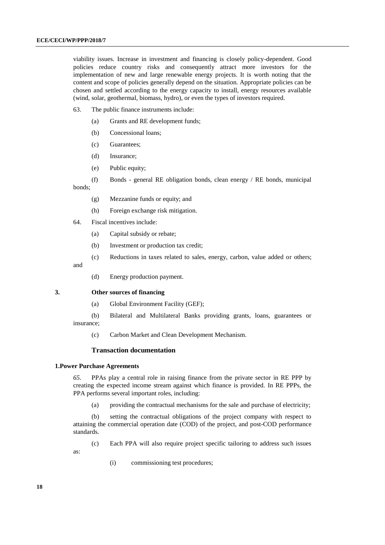viability issues. Increase in investment and financing is closely policy-dependent. Good policies reduce country risks and consequently attract more investors for the implementation of new and large renewable energy projects. It is worth noting that the content and scope of policies generally depend on the situation. Appropriate policies can be chosen and settled according to the energy capacity to install, energy resources available (wind, solar, geothermal, biomass, hydro), or even the types of investors required.

- 63. The public finance instruments include:
	- (a) Grants and RE development funds;
	- (b) Concessional loans;
	- (c) Guarantees;
	- (d) Insurance;
	- (e) Public equity;
- (f) Bonds general RE obligation bonds, clean energy / RE bonds, municipal bonds;
	- (g) Mezzanine funds or equity; and
	- (h) Foreign exchange risk mitigation.
- 64. Fiscal incentives include:
	- (a) Capital subsidy or rebate;
	- (b) Investment or production tax credit;
	- (c) Reductions in taxes related to sales, energy, carbon, value added or others;

and

(d) Energy production payment.

#### **3. Other sources of financing**

- (a) Global Environment Facility (GEF);
- (b) Bilateral and Multilateral Banks providing grants, loans, guarantees or insurance;
	- (c) Carbon Market and Clean Development Mechanism.

#### **Transaction documentation**

#### **1.Power Purchase Agreements**

as:

*65.* PPAs play a central role in raising finance from the private sector in RE PPP by creating the expected income stream against which finance is provided. In RE PPPs, the PPA performs several important roles, including:

(a) providing the contractual mechanisms for the sale and purchase of electricity;

(b) setting the contractual obligations of the project company with respect to attaining the commercial operation date (COD) of the project, and post-COD performance standards.

(c) Each PPA will also require project specific tailoring to address such issues

(i) commissioning test procedures;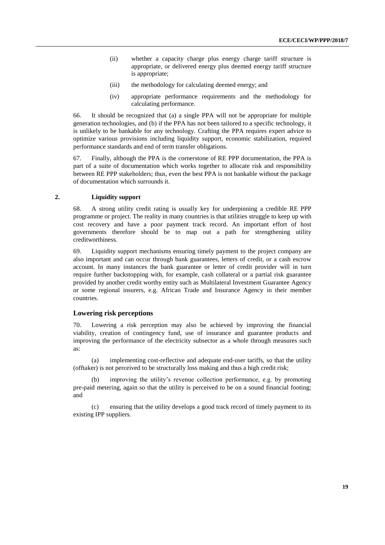- (ii) whether a capacity charge plus energy charge tariff structure is appropriate, or delivered energy plus deemed energy tariff structure is appropriate;
- (iii) the methodology for calculating deemed energy; and
- (iv) appropriate performance requirements and the methodology for calculating performance.

66. It should be recognized that (a) a single PPA will not be appropriate for multiple generation technologies, and (b) if the PPA has not been tailored to a specific technology, it is unlikely to be bankable for any technology. Crafting the PPA requires expert advice to optimize various provisions including liquidity support, economic stabilization, required performance standards and end of term transfer obligations.

67. Finally, although the PPA is the cornerstone of RE PPP documentation, the PPA is part of a suite of documentation which works together to allocate risk and responsibility between RE PPP stakeholders; thus, even the best PPA is not bankable without the package of documentation which surrounds it.

#### **2. Liquidity support**

68. A strong utility credit rating is usually key for underpinning a credible RE PPP programme or project. The reality in many countries is that utilities struggle to keep up with cost recovery and have a poor payment track record. An important effort of host governments therefore should be to map out a path for strengthening utility creditworthiness.

69. Liquidity support mechanisms ensuring timely payment to the project company are also important and can occur through bank guarantees, letters of credit, or a cash escrow account. In many instances the bank guarantee or letter of credit provider will in turn require further backstopping with, for example, cash collateral or a partial risk guarantee provided by another credit worthy entity such as Multilateral Investment Guarantee Agency or some regional insurers, e.g. African Trade and Insurance Agency in their member countries.

### **Lowering risk perceptions**

70. Lowering a risk perception may also be achieved by improving the financial viability, creation of contingency fund, use of insurance and guarantee products and improving the performance of the electricity subsector as a whole through measures such as:

(a) implementing cost-reflective and adequate end-user tariffs, so that the utility (offtaker) is not perceived to be structurally loss making and thus a high credit risk;

(b) improving the utility's revenue collection performance, e.g. by promoting pre-paid metering, again so that the utility is perceived to be on a sound financial footing; and

(c) ensuring that the utility develops a good track record of timely payment to its existing IPP suppliers.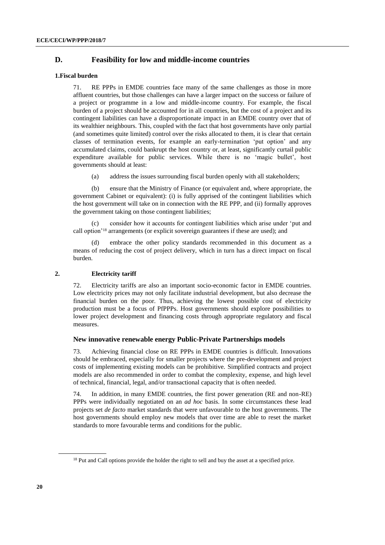### **D. Feasibility for low and middle-income countries**

#### **1.Fiscal burden**

<span id="page-19-0"></span>71. RE PPPs in EMDE countries face many of the same challenges as those in more affluent countries, but those challenges can have a larger impact on the success or failure of a project or programme in a low and middle-income country. For example, the fiscal burden of a project should be accounted for in all countries, but the cost of a project and its contingent liabilities can have a disproportionate impact in an EMDE country over that of its wealthier neighbours. This, coupled with the fact that host governments have only partial (and sometimes quite limited) control over the risks allocated to them, it is clear that certain classes of termination events, for example an early-termination 'put option' and any accumulated claims, could bankrupt the host country or, at least, significantly curtail public expenditure available for public services. While there is no 'magic bullet', host governments should at least:

(a) address the issues surrounding fiscal burden openly with all stakeholders;

(b) ensure that the Ministry of Finance (or equivalent and, where appropriate, the government Cabinet or equivalent): (i) is fully apprised of the contingent liabilities which the host government will take on in connection with the RE PPP, and (ii) formally approves the government taking on those contingent liabilities;

consider how it accounts for contingent liabilities which arise under 'put and call option'<sup>18</sup> arrangements (or explicit sovereign guarantees if these are used); and

(d) embrace the other policy standards recommended in this document as a means of reducing the cost of project delivery, which in turn has a direct impact on fiscal burden.

#### **2. Electricity tariff**

72. Electricity tariffs are also an important socio-economic factor in EMDE countries. Low electricity prices may not only facilitate industrial development, but also decrease the financial burden on the poor. Thus, achieving the lowest possible cost of electricity production must be a focus of PfPPPs. Host governments should explore possibilities to lower project development and financing costs through appropriate regulatory and fiscal measures.

#### **New innovative renewable energy Public-Private Partnerships models**

73. Achieving financial close on RE PPPs in EMDE countries is difficult. Innovations should be embraced, especially for smaller projects where the pre-development and project costs of implementing existing models can be prohibitive. Simplified contracts and project models are also recommended in order to combat the complexity, expense, and high level of technical, financial, legal, and/or transactional capacity that is often needed.

74. In addition, in many EMDE countries, the first power generation (RE and non-RE) PPPs were individually negotiated on an *ad hoc* basis. In some circumstances these lead projects set *de facto* market standards that were unfavourable to the host governments. The host governments should employ new models that over time are able to reset the market standards to more favourable terms and conditions for the public.

<sup>&</sup>lt;sup>18</sup> Put and Call options provide the holder the right to sell and buy the asset at a specified price.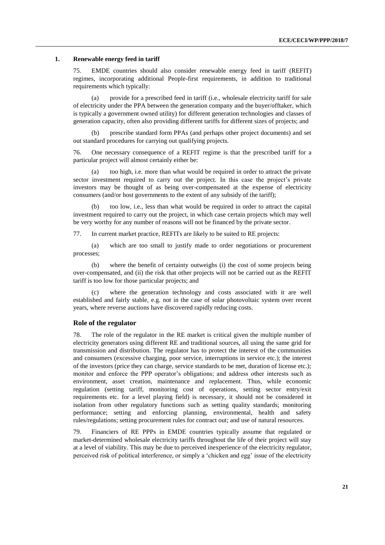#### **1. Renewable energy feed in tariff**

75. EMDE countries should also consider renewable energy feed in tariff (REFIT) regimes, incorporating additional People-first requirements, in addition to traditional requirements which typically:

(a) provide for a prescribed feed in tariff (i.e., wholesale electricity tariff for sale of electricity under the PPA between the generation company and the buyer/offtaker, which is typically a government owned utility) for different generation technologies and classes of generation capacity, often also providing different tariffs for different sizes of projects; and

(b) prescribe standard form PPAs (and perhaps other project documents) and set out standard procedures for carrying out qualifying projects.

76. One necessary consequence of a REFIT regime is that the prescribed tariff for a particular project will almost certainly either be:

(a) too high, i.e. more than what would be required in order to attract the private sector investment required to carry out the project. In this case the project's private investors may be thought of as being over-compensated at the expense of electricity consumers (and/or host governments to the extent of any subsidy of the tariff);

(b) too low, i.e., less than what would be required in order to attract the capital investment required to carry out the project, in which case certain projects which may well be very worthy for any number of reasons will not be financed by the private sector.

77. In current market practice, REFITs are likely to be suited to RE projects:

(a) which are too small to justify made to order negotiations or procurement processes;

(b) where the benefit of certainty outweighs (i) the cost of some projects being over-compensated, and (ii) the risk that other projects will not be carried out as the REFIT tariff is too low for those particular projects; and

(c) where the generation technology and costs associated with it are well established and fairly stable, e.g. not in the case of solar photovoltaic system over recent years, where reverse auctions have discovered rapidly reducing costs.

#### **Role of the regulator**

78. The role of the regulator in the RE market is critical given the multiple number of electricity generators using different RE and traditional sources, all using the same grid for transmission and distribution. The regulator has to protect the interest of the communities and consumers (excessive charging, poor service, interruptions in service etc.); the interest of the investors (price they can charge, service standards to be met, duration of license etc.); monitor and enforce the PPP operator's obligations; and address other interests such as environment, asset creation, maintenance and replacement. Thus, while economic regulation (setting tariff, monitoring cost of operations, setting sector entry/exit requirements etc. for a level playing field) is necessary, it should not be considered in isolation from other regulatory functions such as setting quality standards; monitoring performance; setting and enforcing planning, environmental, health and safety rules/regulations; setting procurement rules for contract out; and use of natural resources.

79. Financiers of RE PPPs in EMDE countries typically assume that regulated or market-determined wholesale electricity tariffs throughout the life of their project will stay at a level of viability. This may be due to perceived inexperience of the electricity regulator, perceived risk of political interference, or simply a 'chicken and egg' issue of the electricity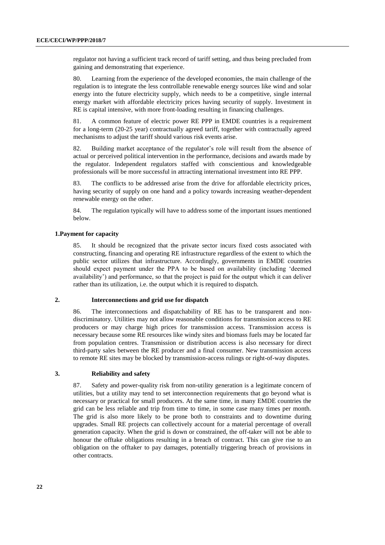regulator not having a sufficient track record of tariff setting, and thus being precluded from gaining and demonstrating that experience.

80. Learning from the experience of the developed economies, the main challenge of the regulation is to integrate the less controllable renewable energy sources like wind and solar energy into the future electricity supply, which needs to be a competitive, single internal energy market with affordable electricity prices having security of supply. Investment in RE is capital intensive, with more front-loading resulting in financing challenges.

81. A common feature of electric power RE PPP in EMDE countries is a requirement for a long-term (20-25 year) contractually agreed tariff, together with contractually agreed mechanisms to adjust the tariff should various risk events arise.

82. Building market acceptance of the regulator's role will result from the absence of actual or perceived political intervention in the performance, decisions and awards made by the regulator. Independent regulators staffed with conscientious and knowledgeable professionals will be more successful in attracting international investment into RE PPP.

83. The conflicts to be addressed arise from the drive for affordable electricity prices, having security of supply on one hand and a policy towards increasing weather-dependent renewable energy on the other.

84. The regulation typically will have to address some of the important issues mentioned below.

#### **1.Payment for capacity**

85. It should be recognized that the private sector incurs fixed costs associated with constructing, financing and operating RE infrastructure regardless of the extent to which the public sector utilizes that infrastructure. Accordingly, governments in EMDE countries should expect payment under the PPA to be based on availability (including 'deemed availability') and performance, so that the project is paid for the output which it can deliver rather than its utilization, i.e. the output which it is required to dispatch.

#### **2. Interconnections and grid use for dispatch**

86. The interconnections and dispatchability of RE has to be transparent and nondiscriminatory. Utilities may not allow reasonable conditions for transmission access to RE producers or may charge high prices for transmission access. Transmission access is necessary because some RE resources like windy sites and biomass fuels may be located far from population centres. Transmission or distribution access is also necessary for direct third-party sales between the RE producer and a final consumer. New transmission access to remote RE sites may be blocked by transmission-access rulings or right-of-way disputes.

#### **3. Reliability and safety**

87. Safety and power-quality risk from non-utility generation is a legitimate concern of utilities, but a utility may tend to set interconnection requirements that go beyond what is necessary or practical for small producers. At the same time, in many EMDE countries the grid can be less reliable and trip from time to time, in some case many times per month. The grid is also more likely to be prone both to constraints and to downtime during upgrades. Small RE projects can collectively account for a material percentage of overall generation capacity. When the grid is down or constrained, the off-taker will not be able to honour the offtake obligations resulting in a breach of contract. This can give rise to an obligation on the offtaker to pay damages, potentially triggering breach of provisions in other contracts.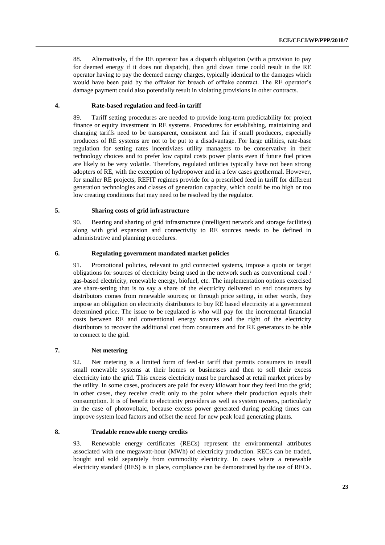88. Alternatively, if the RE operator has a dispatch obligation (with a provision to pay for deemed energy if it does not dispatch), then grid down time could result in the RE operator having to pay the deemed energy charges, typically identical to the damages which would have been paid by the offtaker for breach of offtake contract. The RE operator's damage payment could also potentially result in violating provisions in other contracts.

### **4. Rate-based regulation and feed-in tariff**

89. Tariff setting procedures are needed to provide long-term predictability for project finance or equity investment in RE systems. Procedures for establishing, maintaining and changing tariffs need to be transparent, consistent and fair if small producers, especially producers of RE systems are not to be put to a disadvantage. For large utilities, rate-base regulation for setting rates incentivizes utility managers to be conservative in their technology choices and to prefer low capital costs power plants even if future fuel prices are likely to be very volatile. Therefore, regulated utilities typically have not been strong adopters of RE, with the exception of hydropower and in a few cases geothermal. However, for smaller RE projects, REFIT regimes provide for a prescribed feed in tariff for different generation technologies and classes of generation capacity, which could be too high or too low creating conditions that may need to be resolved by the regulator.

#### **5. Sharing costs of grid infrastructure**

90. Bearing and sharing of grid infrastructure (intelligent network and storage facilities) along with grid expansion and connectivity to RE sources needs to be defined in administrative and planning procedures.

#### **6. Regulating government mandated market policies**

91. Promotional policies, relevant to grid connected systems, impose a quota or target obligations for sources of electricity being used in the network such as conventional coal / gas-based electricity, renewable energy, biofuel, etc. The implementation options exercised are share-setting that is to say a share of the electricity delivered to end consumers by distributors comes from renewable sources; or through price setting, in other words, they impose an obligation on electricity distributors to buy RE based electricity at a government determined price. The issue to be regulated is who will pay for the incremental financial costs between RE and conventional energy sources and the right of the electricity distributors to recover the additional cost from consumers and for RE generators to be able to connect to the grid.

#### **7. Net metering**

92. Net metering is a limited form of feed-in tariff that permits consumers to install small renewable systems at their homes or businesses and then to sell their excess electricity into the grid. This excess electricity must be purchased at retail market prices by the utility. In some cases, producers are paid for every kilowatt hour they feed into the grid; in other cases, they receive credit only to the point where their production equals their consumption. It is of benefit to electricity providers as well as system owners, particularly in the case of photovoltaic, because excess power generated during peaking times can improve system load factors and offset the need for new peak load generating plants.

#### **8. Tradable renewable energy credits**

93. Renewable energy certificates (RECs) represent the environmental attributes associated with one megawatt-hour (MWh) of electricity production. RECs can be traded, bought and sold separately from commodity electricity. In cases where a renewable electricity standard (RES) is in place, compliance can be demonstrated by the use of RECs.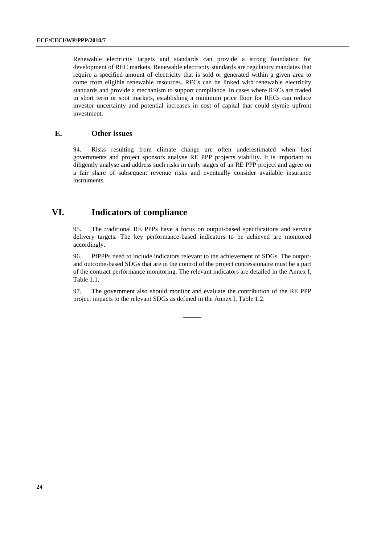Renewable electricity targets and standards can provide a strong foundation for development of REC markets. Renewable electricity standards are regulatory mandates that require a specified amount of electricity that is sold or generated within a given area to come from eligible renewable resources. RECs can be linked with renewable electricity standards and provide a mechanism to support compliance. In cases where RECs are traded in short term or spot markets, establishing a minimum price floor for RECs can reduce investor uncertainty and potential increases in cost of capital that could stymie upfront investment.

### **E. Other issues**

<span id="page-23-0"></span>94. Risks resulting from climate change are often underestimated when host governments and project sponsors analyse RE PPP projects viability. It is important to diligently analyse and address such risks in early stages of an RE PPP project and agree on a fair share of subsequent revenue risks and eventually consider available insurance instruments.

### <span id="page-23-1"></span>**VI. Indicators of compliance**

95. The traditional RE PPPs have a focus on output-based specifications and service delivery targets. The key performance-based indicators to be achieved are monitored accordingly.

96. PfPPPs need to include indicators relevant to the achievement of SDGs. The outputand outcome-based SDGs that are in the control of the project concessionaire must be a part of the contract performance monitoring. The relevant indicators are detailed in the Annex I, Table 1.1.

97. The government also should monitor and evaluate the contribution of the RE PPP project impacts to the relevant SDGs as defined in the Annex I, Table 1.2.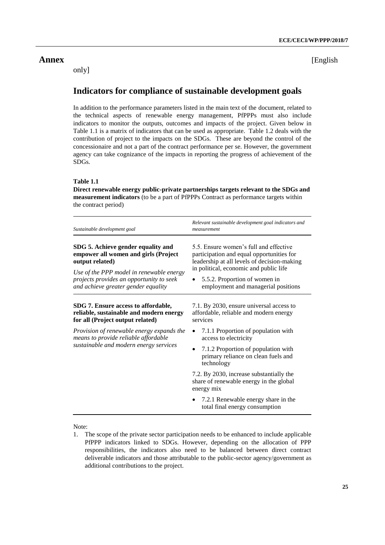only]

<span id="page-24-0"></span>**Annex** [English

# **Indicators for compliance of sustainable development goals**

In addition to the performance parameters listed in the main text of the document, related to the technical aspects of renewable energy management, PfPPPs must also include indicators to monitor the outputs, outcomes and impacts of the project. Given below in Table 1.1 is a matrix of indicators that can be used as appropriate. Table 1.2 deals with the contribution of project to the impacts on the SDGs. These are beyond the control of the concessionaire and not a part of the contract performance per se. However, the government agency can take cognizance of the impacts in reporting the progress of achievement of the SDGs.

#### **Table 1.1**

**Direct renewable energy public-private partnerships targets relevant to the SDGs and measurement indicators** (to be a part of PfPPPs Contract as performance targets within the contract period)

| Sustainable development goal                                                                                                                                                                                                 | Relevant sustainable development goal indicators and<br>measurement                                                                                                                                                                                  |
|------------------------------------------------------------------------------------------------------------------------------------------------------------------------------------------------------------------------------|------------------------------------------------------------------------------------------------------------------------------------------------------------------------------------------------------------------------------------------------------|
| SDG 5. Achieve gender equality and<br>empower all women and girls (Project<br>output related)<br>Use of the PPP model in renewable energy<br>projects provides an opportunity to seek<br>and achieve greater gender equality | 5.5. Ensure women's full and effective<br>participation and equal opportunities for<br>leadership at all levels of decision-making<br>in political, economic and public life<br>5.5.2. Proportion of women in<br>employment and managerial positions |
| SDG 7. Ensure access to affordable,<br>reliable, sustainable and modern energy<br>for all (Project output related)                                                                                                           | 7.1. By 2030, ensure universal access to<br>affordable, reliable and modern energy<br>services                                                                                                                                                       |
| Provision of renewable energy expands the<br>means to provide reliable affordable                                                                                                                                            | 7.1.1 Proportion of population with<br>access to electricity                                                                                                                                                                                         |
| sustainable and modern energy services                                                                                                                                                                                       | 7.1.2 Proportion of population with<br>$\bullet$<br>primary reliance on clean fuels and<br>technology                                                                                                                                                |
|                                                                                                                                                                                                                              | 7.2. By 2030, increase substantially the<br>share of renewable energy in the global<br>energy mix                                                                                                                                                    |
|                                                                                                                                                                                                                              | 7.2.1 Renewable energy share in the<br>total final energy consumption                                                                                                                                                                                |

Note:

<sup>1.</sup> The scope of the private sector participation needs to be enhanced to include applicable PfPPP indicators linked to SDGs. However, depending on the allocation of PPP responsibilities, the indicators also need to be balanced between direct contract deliverable indicators and those attributable to the public-sector agency/government as additional contributions to the project.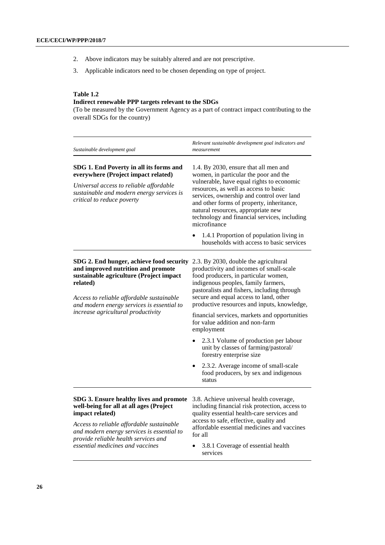- 2. Above indicators may be suitably altered and are not prescriptive.
- 3. Applicable indicators need to be chosen depending on type of project.

### **Table 1.2**

### **Indirect renewable PPP targets relevant to the SDGs**

(To be measured by the Government Agency as a part of contract impact contributing to the overall SDGs for the country)

| Sustainable development goal                                                                                                                                                                                                     | Relevant sustainable development goal indicators and<br>measurement                                                                                                                                                                                                                                                                                                  |  |  |
|----------------------------------------------------------------------------------------------------------------------------------------------------------------------------------------------------------------------------------|----------------------------------------------------------------------------------------------------------------------------------------------------------------------------------------------------------------------------------------------------------------------------------------------------------------------------------------------------------------------|--|--|
| SDG 1. End Poverty in all its forms and<br>everywhere (Project impact related)<br>Universal access to reliable affordable<br>sustainable and modern energy services is<br>critical to reduce poverty                             | 1.4. By 2030, ensure that all men and<br>women, in particular the poor and the<br>vulnerable, have equal rights to economic<br>resources, as well as access to basic<br>services, ownership and control over land<br>and other forms of property, inheritance,<br>natural resources, appropriate new<br>technology and financial services, including<br>microfinance |  |  |
|                                                                                                                                                                                                                                  | 1.4.1 Proportion of population living in<br>households with access to basic services                                                                                                                                                                                                                                                                                 |  |  |
| SDG 2. End hunger, achieve food security<br>and improved nutrition and promote<br>sustainable agriculture (Project impact<br>related)<br>Access to reliable affordable sustainable<br>and modern energy services is essential to | 2.3. By 2030, double the agricultural<br>productivity and incomes of small-scale<br>food producers, in particular women,<br>indigenous peoples, family farmers,<br>pastoralists and fishers, including through<br>secure and equal access to land, other<br>productive resources and inputs, knowledge,                                                              |  |  |
| increase agricultural productivity                                                                                                                                                                                               | financial services, markets and opportunities<br>for value addition and non-farm<br>employment                                                                                                                                                                                                                                                                       |  |  |
|                                                                                                                                                                                                                                  | 2.3.1 Volume of production per labour<br>unit by classes of farming/pastoral/<br>forestry enterprise size                                                                                                                                                                                                                                                            |  |  |
|                                                                                                                                                                                                                                  | 2.3.2. Average income of small-scale<br>food producers, by sex and indigenous<br>status                                                                                                                                                                                                                                                                              |  |  |
| SDG 3. Ensure healthy lives and promote<br>well-being for all at all ages (Project<br>impact related)                                                                                                                            | 3.8. Achieve universal health coverage,<br>including financial risk protection, access to<br>quality essential health-care services and                                                                                                                                                                                                                              |  |  |
| Access to reliable affordable sustainable<br>and modern energy services is essential to<br>provide reliable health services and                                                                                                  | access to safe, effective, quality and<br>affordable essential medicines and vaccines<br>for all                                                                                                                                                                                                                                                                     |  |  |
| essential medicines and vaccines                                                                                                                                                                                                 | 3.8.1 Coverage of essential health                                                                                                                                                                                                                                                                                                                                   |  |  |

• 3.8.1 Coverage of essential health services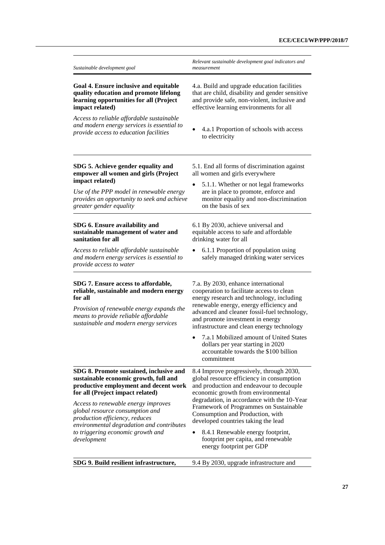| Sustainable development goal                                                                                                                                                                                                                                              | Relevant sustainable development goal indicators and<br>measurement                                                                                                                                                                                                                                        |  |  |
|---------------------------------------------------------------------------------------------------------------------------------------------------------------------------------------------------------------------------------------------------------------------------|------------------------------------------------------------------------------------------------------------------------------------------------------------------------------------------------------------------------------------------------------------------------------------------------------------|--|--|
| Goal 4. Ensure inclusive and equitable<br>quality education and promote lifelong<br>learning opportunities for all (Project<br>impact related)                                                                                                                            | 4.a. Build and upgrade education facilities<br>that are child, disability and gender sensitive<br>and provide safe, non-violent, inclusive and<br>effective learning environments for all                                                                                                                  |  |  |
| Access to reliable affordable sustainable<br>and modern energy services is essential to<br>provide access to education facilities                                                                                                                                         | 4.a.1 Proportion of schools with access<br>to electricity                                                                                                                                                                                                                                                  |  |  |
| SDG 5. Achieve gender equality and<br>empower all women and girls (Project<br>impact related)<br>Use of the PPP model in renewable energy<br>provides an opportunity to seek and achieve<br>greater gender equality                                                       | 5.1. End all forms of discrimination against<br>all women and girls everywhere<br>5.1.1. Whether or not legal frameworks<br>are in place to promote, enforce and<br>monitor equality and non-discrimination<br>on the basis of sex                                                                         |  |  |
| SDG 6. Ensure availability and<br>sustainable management of water and<br>sanitation for all                                                                                                                                                                               | 6.1 By 2030, achieve universal and<br>equitable access to safe and affordable<br>drinking water for all                                                                                                                                                                                                    |  |  |
| Access to reliable affordable sustainable<br>and modern energy services is essential to<br>provide access to water                                                                                                                                                        | 6.1.1 Proportion of population using<br>safely managed drinking water services                                                                                                                                                                                                                             |  |  |
| SDG 7. Ensure access to affordable,<br>reliable, sustainable and modern energy<br>for all<br>Provision of renewable energy expands the<br>means to provide reliable affordable<br>sustainable and modern energy services                                                  | 7.a. By 2030, enhance international<br>cooperation to facilitate access to clean<br>energy research and technology, including<br>renewable energy, energy efficiency and<br>advanced and cleaner fossil-fuel technology,<br>and promote investment in energy<br>infrastructure and clean energy technology |  |  |
|                                                                                                                                                                                                                                                                           | 7.a.1 Mobilized amount of United States<br>dollars per year starting in 2020<br>accountable towards the \$100 billion<br>commitment                                                                                                                                                                        |  |  |
| SDG 8. Promote sustained, inclusive and<br>sustainable economic growth, full and<br>productive employment and decent work<br>for all (Project impact related)<br>Access to renewable energy improves<br>global resource consumption and<br>production efficiency, reduces | 8.4 Improve progressively, through 2030,<br>global resource efficiency in consumption<br>and production and endeavour to decouple<br>economic growth from environmental<br>degradation, in accordance with the 10-Year<br>Framework of Programmes on Sustainable<br>Consumption and Production, with       |  |  |
| environmental degradation and contributes<br>to triggering economic growth and<br>development                                                                                                                                                                             | developed countries taking the lead<br>8.4.1 Renewable energy footprint,<br>footprint per capita, and renewable<br>energy footprint per GDP                                                                                                                                                                |  |  |
| SDG 9. Build resilient infrastructure,                                                                                                                                                                                                                                    | 9.4 By 2030, upgrade infrastructure and                                                                                                                                                                                                                                                                    |  |  |